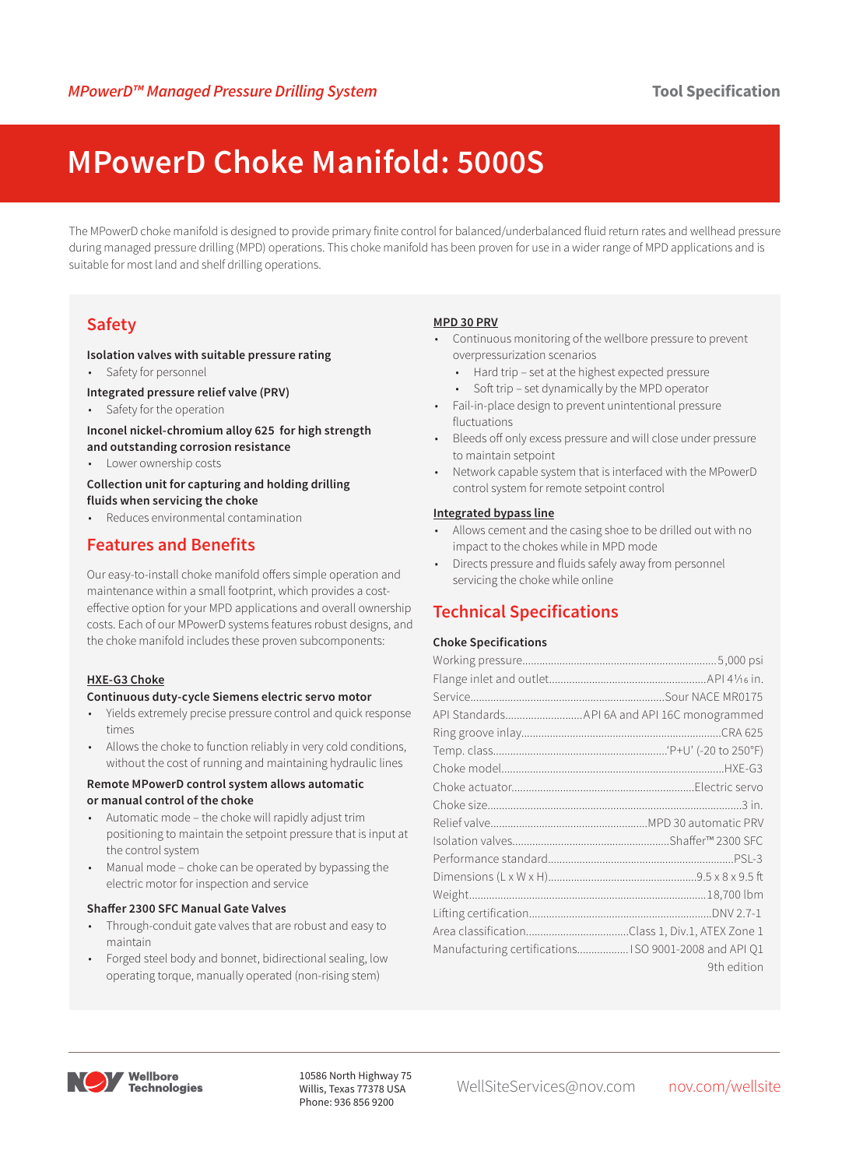# **MPowerD Choke Manifold: 5000S**

The MPowerD choke manifold is designed to provide primary finite control for balanced/underbalanced fluid return rates and wellhead pressure during managed pressure drilling (MPD) operations. This choke manifold has been proven for use in a wider range of MPD applications and is suitable for most land and shelf drilling operations.

# **Safety**

#### **Isolation valves with suitable pressure rating**

• Safety for personnel

#### **Integrated pressure relief valve (PRV)**

Safety for the operation

#### **Inconel nickel-chromium alloy 625 for high strength and outstanding corrosion resistance**

• Lower ownership costs

#### **Collection unit for capturing and holding drilling fluids when servicing the choke**

• Reduces environmental contamination

## **Features and Benefits**

Our easy-to-install choke manifold offers simple operation and maintenance within a small footprint, which provides a costeffective option for your MPD applications and overall ownership costs. Each of our MPowerD systems features robust designs, and the choke manifold includes these proven subcomponents:

### **HXE-G3 Choke**

#### **Continuous duty-cycle Siemens electric servo motor**

- Yields extremely precise pressure control and quick response times
- Allows the choke to function reliably in very cold conditions, without the cost of running and maintaining hydraulic lines

#### **Remote MPowerD control system allows automatic or manual control of the choke**

- Automatic mode the choke will rapidly adjust trim positioning to maintain the setpoint pressure that is input at the control system
- Manual mode choke can be operated by bypassing the electric motor for inspection and service

### **Shaffer 2300 SFC Manual Gate Valves**

- Through-conduit gate valves that are robust and easy to maintain
- Forged steel body and bonnet, bidirectional sealing, low operating torque, manually operated (non-rising stem)

#### **MPD 30 PRV**

- Continuous monitoring of the wellbore pressure to prevent overpressurization scenarios
	- Hard trip set at the highest expected pressure
	- Soft trip set dynamically by the MPD operator
- Fail-in-place design to prevent unintentional pressure fluctuations
- Bleeds off only excess pressure and will close under pressure to maintain setpoint
- Network capable system that is interfaced with the MPowerD control system for remote setpoint control

#### **Integrated bypass line**

- Allows cement and the casing shoe to be drilled out with no impact to the chokes while in MPD mode
- Directs pressure and fluids safely away from personnel servicing the choke while online

## **Technical Specifications**

#### **Choke Specifications**

| Manufacturing certifications ISO 9001-2008 and API Q1 |
|-------------------------------------------------------|
| 9th edition                                           |



Willis, Texas 77378 USA Phone: 936 856 9200

10586 North Highway 75<br>WellSiteServices@nov.com nov.com/wellsite 10this, Texas 77378 USA